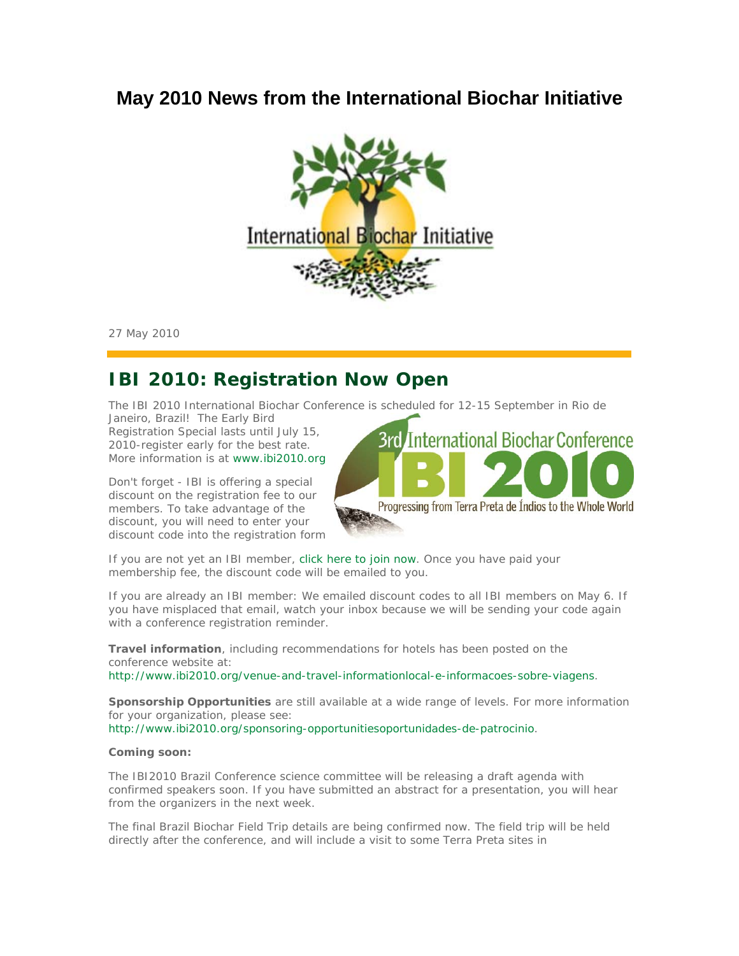# **May 2010 News from the International Biochar Initiative**



27 May 2010

# **IBI 2010: Registration Now Open**

The IBI 2010 International Biochar Conference is scheduled for 12-15 September in Rio de

Janeiro, Brazil! The Early Bird Registration Special lasts until July 15, 2010-register early for the best rate. More information is at www.ibi2010.org.

*Don't forget* - IBI is offering a special discount on the registration fee to our members. To take advantage of the discount, you will need to enter your discount code into the registration form.



If you are not yet an IBI member, click here to join now. Once you have paid your membership fee, the discount code will be emailed to you.

If you are already an IBI member: We emailed discount codes to all IBI members on May 6. If you have misplaced that email, watch your inbox because we will be sending your code again with a conference registration reminder.

*Travel information*, including recommendations for hotels has been posted on the conference website at:

http://www.ibi2010.org/venue-and-travel-informationlocal-e-informacoes-sobre-viagens.

*Sponsorship Opportunities* are still available at a wide range of levels. For more information for your organization, please see:

http://www.ibi2010.org/sponsoring-opportunitiesoportunidades-de-patrocinio.

#### *Coming soon:*

*The IBI2010 Brazil Conference science committee* will be releasing a draft agenda with confirmed speakers soon. If you have submitted an abstract for a presentation, you will hear from the organizers in the next week.

*The final Brazil Biochar Field Trip* details are being confirmed now. The field trip will be held directly after the conference, and will include a visit to some Terra Preta sites in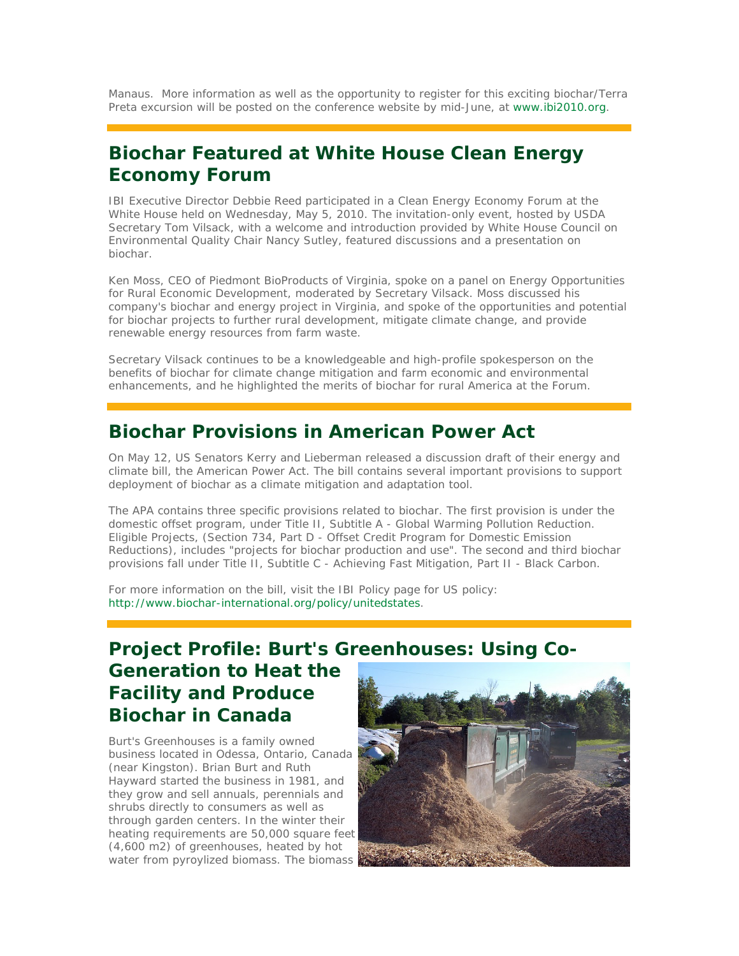Manaus. More information as well as the opportunity to register for this exciting biochar/Terra Preta excursion will be posted on the conference website by mid-June, at www.ibi2010.org.

## **Biochar Featured at White House Clean Energy Economy Forum**

IBI Executive Director Debbie Reed participated in a Clean Energy Economy Forum at the White House held on Wednesday, May 5, 2010. The invitation-only event, hosted by USDA Secretary Tom Vilsack, with a welcome and introduction provided by White House Council on Environmental Quality Chair Nancy Sutley, featured discussions and a presentation on biochar.

Ken Moss, CEO of Piedmont BioProducts of Virginia, spoke on a panel on Energy Opportunities for Rural Economic Development, moderated by Secretary Vilsack. Moss discussed his company's biochar and energy project in Virginia, and spoke of the opportunities and potential for biochar projects to further rural development, mitigate climate change, and provide renewable energy resources from farm waste.

Secretary Vilsack continues to be a knowledgeable and high-profile spokesperson on the benefits of biochar for climate change mitigation and farm economic and environmental enhancements, and he highlighted the merits of biochar for rural America at the Forum.

### **Biochar Provisions in American Power Act**

On May 12, US Senators Kerry and Lieberman released a discussion draft of their energy and climate bill, the American Power Act. The bill contains several important provisions to support deployment of biochar as a climate mitigation and adaptation tool.

The APA contains three specific provisions related to biochar. The first provision is under the domestic offset program, under Title II, Subtitle A - Global Warming Pollution Reduction. Eligible Projects, (Section 734, Part D - Offset Credit Program for Domestic Emission Reductions), includes "projects for biochar production and use". The second and third biochar provisions fall under Title II, Subtitle C - Achieving Fast Mitigation, Part II - Black Carbon.

For more information on the bill, visit the IBI Policy page for US policy: http://www.biochar-international.org/policy/unitedstates.

## **Project Profile: Burt's Greenhouses: Using Co-Generation to Heat the Facility and Produce Biochar in Canada**

Burt's Greenhouses is a family owned business located in Odessa, Ontario, Canada (near Kingston). Brian Burt and Ruth Hayward started the business in 1981, and they grow and sell annuals, perennials and shrubs directly to consumers as well as through garden centers. In the winter their heating requirements are 50,000 square feet (4,600 m2) of greenhouses, heated by hot water from pyroylized biomass. The biomass

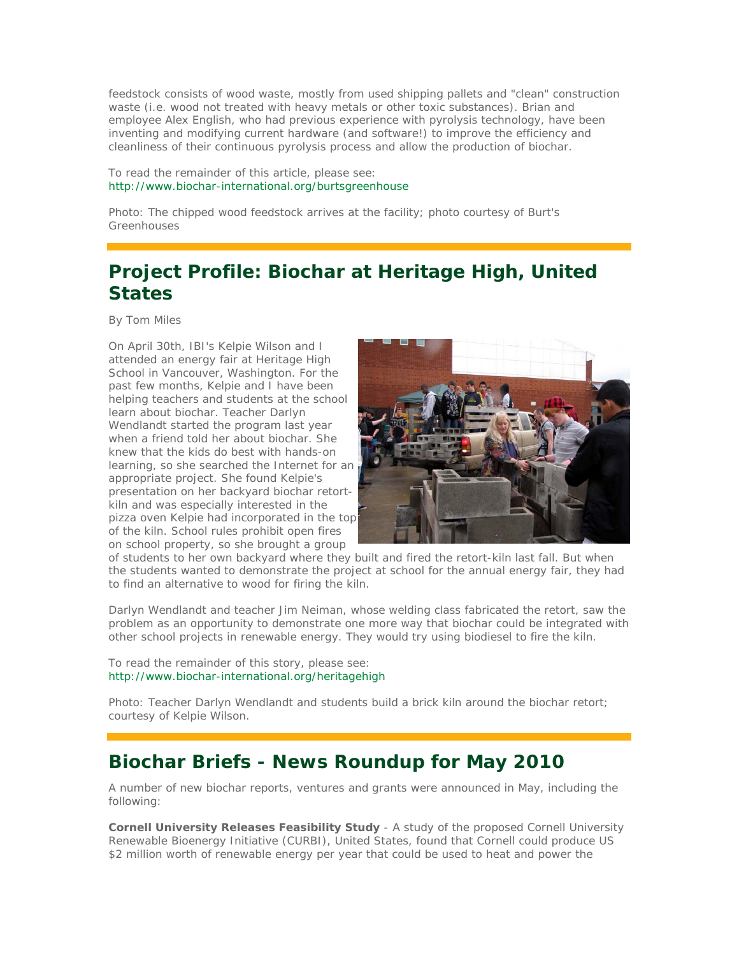feedstock consists of wood waste, mostly from used shipping pallets and "clean" construction waste (i.e. wood not treated with heavy metals or other toxic substances). Brian and employee Alex English, who had previous experience with pyrolysis technology, have been inventing and modifying current hardware (and software!) to improve the efficiency and cleanliness of their continuous pyrolysis process and allow the production of biochar.

To read the remainder of this article, please see: http://www.biochar-international.org/burtsgreenhouse

*Photo: The chipped wood feedstock arrives at the facility; photo courtesy of Burt's Greenhouses*

# **Project Profile: Biochar at Heritage High, United States**

*By Tom Miles*

On April 30th, IBI's Kelpie Wilson and I attended an energy fair at Heritage High School in Vancouver, Washington. For the past few months, Kelpie and I have been helping teachers and students at the school learn about biochar. Teacher Darlyn Wendlandt started the program last year when a friend told her about biochar. She knew that the kids do best with hands-on learning, so she searched the Internet for an appropriate project. She found Kelpie's presentation on her backyard biochar retortkiln and was especially interested in the pizza oven Kelpie had incorporated in the top of the kiln. School rules prohibit open fires on school property, so she brought a group



of students to her own backyard where they built and fired the retort-kiln last fall. But when the students wanted to demonstrate the project at school for the annual energy fair, they had to find an alternative to wood for firing the kiln.

Darlyn Wendlandt and teacher Jim Neiman, whose welding class fabricated the retort, saw the problem as an opportunity to demonstrate one more way that biochar could be integrated with other school projects in renewable energy. They would try using biodiesel to fire the kiln.

To read the remainder of this story, please see: http://www.biochar-international.org/heritagehigh

*Photo: Teacher Darlyn Wendlandt and students build a brick kiln around the biochar retort; courtesy of Kelpie Wilson.*

### **Biochar Briefs - News Roundup for May 2010**

A number of new biochar reports, ventures and grants were announced in May, including the following:

*Cornell University Releases Feasibility Study* - A study of the proposed Cornell University Renewable Bioenergy Initiative (CURBI), United States, found that Cornell could produce US \$2 million worth of renewable energy per year that could be used to heat and power the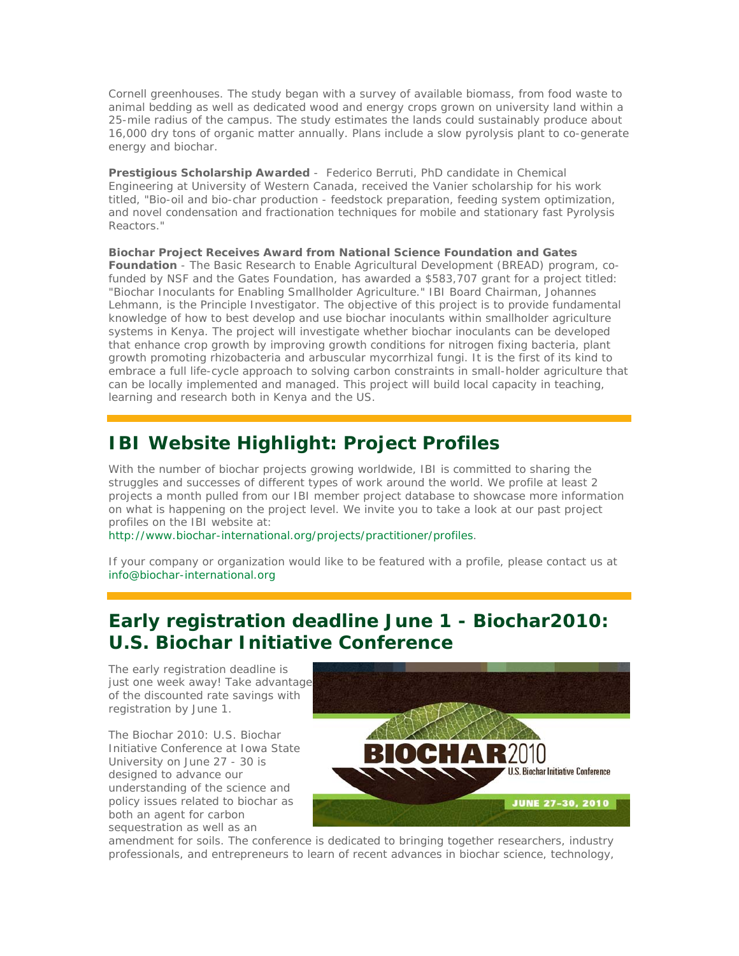Cornell greenhouses. The study began with a survey of available biomass, from food waste to animal bedding as well as dedicated wood and energy crops grown on university land within a 25-mile radius of the campus. The study estimates the lands could sustainably produce about 16,000 dry tons of organic matter annually. Plans include a slow pyrolysis plant to co-generate energy and biochar.

*Prestigious Scholarship Awarded* - Federico Berruti, PhD candidate in Chemical Engineering at University of Western Canada, received the Vanier scholarship for his work titled, "Bio-oil and bio-char production - feedstock preparation, feeding system optimization, and novel condensation and fractionation techniques for mobile and stationary fast Pyrolysis Reactors."

*Biochar Project Receives Award from National Science Foundation and Gates Foundation* - The Basic Research to Enable Agricultural Development (BREAD) program, cofunded by NSF and the Gates Foundation, has awarded a \$583,707 grant for a project titled: "Biochar Inoculants for Enabling Smallholder Agriculture." IBI Board Chairman, Johannes Lehmann, is the Principle Investigator. The objective of this project is to provide fundamental knowledge of how to best develop and use biochar inoculants within smallholder agriculture systems in Kenya. The project will investigate whether biochar inoculants can be developed that enhance crop growth by improving growth conditions for nitrogen fixing bacteria, plant growth promoting rhizobacteria and arbuscular mycorrhizal fungi. It is the first of its kind to embrace a full life-cycle approach to solving carbon constraints in small-holder agriculture that can be locally implemented and managed. This project will build local capacity in teaching, learning and research both in Kenya and the US.

# **IBI Website Highlight: Project Profiles**

With the number of biochar projects growing worldwide, IBI is committed to sharing the struggles and successes of different types of work around the world. We profile at least 2 projects a month pulled from our IBI member project database to showcase more information on what is happening on the project level. We invite you to take a look at our past project profiles on the IBI website at:

http://www.biochar-international.org/projects/practitioner/profiles.

If your company or organization would like to be featured with a profile, please contact us at info@biochar-international.org

# **Early registration deadline June 1 - Biochar2010: U.S. Biochar Initiative Conference**

The early registration deadline is just one week away! Take advantage of the discounted rate savings with registration by June 1.

The Biochar 2010: U.S. Biochar Initiative Conference at Iowa State University on June 27 - 30 is designed to advance our understanding of the science and policy issues related to biochar as both an agent for carbon sequestration as well as an



amendment for soils. The conference is dedicated to bringing together researchers, industry professionals, and entrepreneurs to learn of recent advances in biochar science, technology,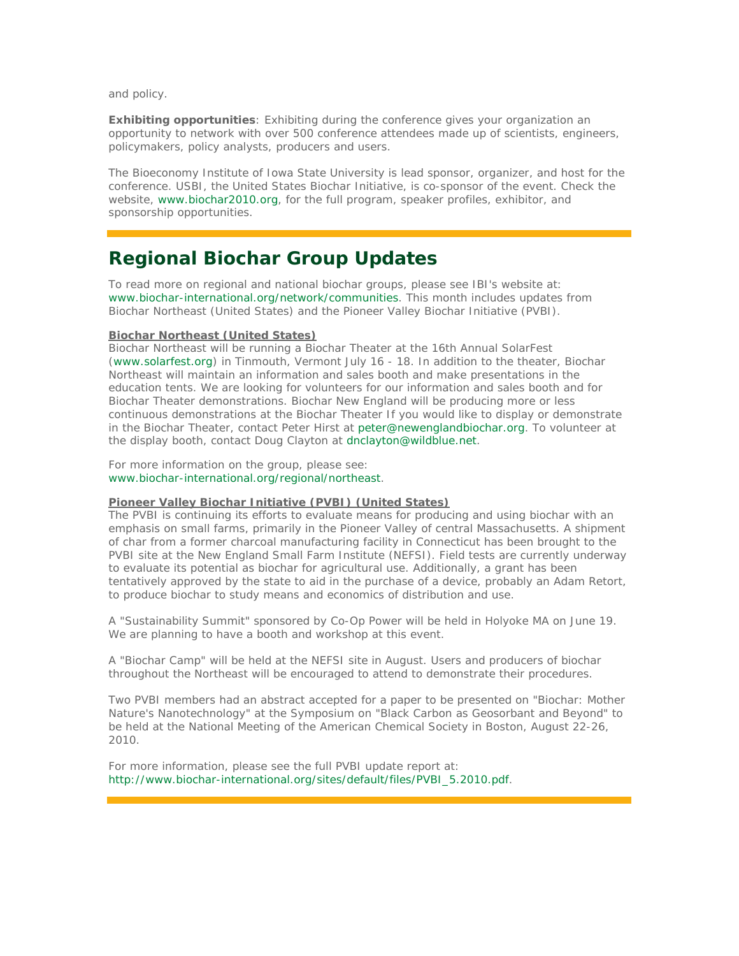and policy.

**Exhibiting opportunities**: Exhibiting during the conference gives your organization an opportunity to network with over 500 conference attendees made up of scientists, engineers, policymakers, policy analysts, producers and users.

The Bioeconomy Institute of Iowa State University is lead sponsor, organizer, and host for the conference. USBI, the United States Biochar Initiative, is co-sponsor of the event. Check the website, www.biochar2010.org, for the full program, speaker profiles, exhibitor, and sponsorship opportunities.

## **Regional Biochar Group Updates**

To read more on regional and national biochar groups, please see IBI's website at: www.biochar-international.org/network/communities. This month includes updates from Biochar Northeast (United States) and the Pioneer Valley Biochar Initiative (PVBI).

#### **Biochar Northeast (United States)**

Biochar Northeast will be running a Biochar Theater at the 16th Annual SolarFest (www.solarfest.org) in Tinmouth, Vermont July 16 - 18. In addition to the theater, Biochar Northeast will maintain an information and sales booth and make presentations in the education tents. We are looking for volunteers for our information and sales booth and for Biochar Theater demonstrations. Biochar New England will be producing more or less continuous demonstrations at the Biochar Theater If you would like to display or demonstrate in the Biochar Theater, contact Peter Hirst at peter@newenglandbiochar.org. To volunteer at the display booth, contact Doug Clayton at dnclayton@wildblue.net.

For more information on the group, please see: www.biochar-international.org/regional/northeast.

#### **Pioneer Valley Biochar Initiative (PVBI) (United States)**

The PVBI is continuing its efforts to evaluate means for producing and using biochar with an emphasis on small farms, primarily in the Pioneer Valley of central Massachusetts. A shipment of char from a former charcoal manufacturing facility in Connecticut has been brought to the PVBI site at the New England Small Farm Institute (NEFSI). Field tests are currently underway to evaluate its potential as biochar for agricultural use. Additionally, a grant has been tentatively approved by the state to aid in the purchase of a device, probably an Adam Retort, to produce biochar to study means and economics of distribution and use.

A "Sustainability Summit" sponsored by Co-Op Power will be held in Holyoke MA on June 19. We are planning to have a booth and workshop at this event.

A "Biochar Camp" will be held at the NEFSI site in August. Users and producers of biochar throughout the Northeast will be encouraged to attend to demonstrate their procedures.

Two PVBI members had an abstract accepted for a paper to be presented on "Biochar: Mother Nature's Nanotechnology" at the Symposium on "Black Carbon as Geosorbant and Beyond" to be held at the National Meeting of the American Chemical Society in Boston, August 22-26, 2010.

For more information, please see the full PVBI update report at: http://www.biochar-international.org/sites/default/files/PVBI\_5.2010.pdf.